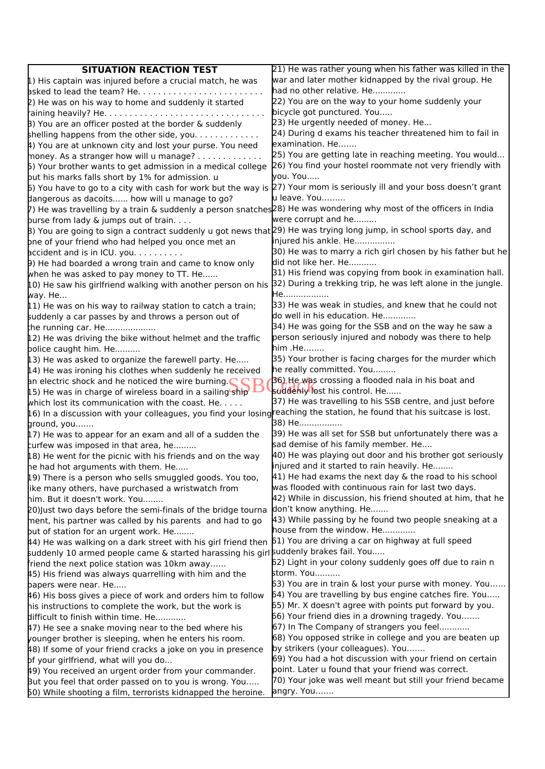| <b>SITUATION REACTION TEST</b>                                                                                               | 21) He was rather young when his father was killed in the     |
|------------------------------------------------------------------------------------------------------------------------------|---------------------------------------------------------------|
| $\mu$ ) His captain was injured before a crucial match, he was                                                               | war and later mother kidnapped by the rival group. He         |
|                                                                                                                              | had no other relative. He                                     |
| 2) He was on his way to home and suddenly it started                                                                         | 22) You are on the way to your home suddenly your             |
|                                                                                                                              | bicycle got punctured. You                                    |
| $\beta$ ) You are an officer posted at the border & suddenly                                                                 | [23] He urgently needed of money. He                          |
| shelling happens from the other side, you                                                                                    | 24) During d exams his teacher threatened him to fail in      |
| 4) You are at unknown city and lost your purse. You need                                                                     | examination. He                                               |
| money. As a stranger how will u manage? $\dots\dots\dots$                                                                    | 25) You are getting late in reaching meeting. You would       |
| 5) Your brother wants to get admission in a medical college                                                                  | 26) You find your hostel roommate not very friendly with      |
| but his marks falls short by 1% for admission. u                                                                             | you. You                                                      |
| 6) You have to go to a city with cash for work but the way is (27) Your mom is seriously ill and your boss doesn't grant     |                                                               |
| dangerous as dacoits how will u manage to go?                                                                                | u leave. You                                                  |
| 7) He was travelling by a train & suddenly a person snatches 28) He was wondering why most of the officers in India          |                                                               |
| purse from lady & jumps out of train.                                                                                        | were corrupt and he                                           |
| B) You are going to sign a contract suddenly u got news that [29] He was trying long jump, in school sports day, and         |                                                               |
| pne of your friend who had helped you once met an                                                                            | injured his ankle. He                                         |
| $b$ accident and is in ICU. you. $\ldots \ldots$                                                                             | 30) He was to marry a rich girl chosen by his father but he   |
| 9) He had boarded a wrong train and came to know only                                                                        | did not like her. He                                          |
| when he was asked to pay money to TT. He                                                                                     | [31] His friend was copying from book in examination hall.    |
| 10) He saw his girlfriend walking with another person on his                                                                 | [32] During a trekking trip, he was left alone in the jungle. |
| way. He                                                                                                                      | He                                                            |
| $\left[11\right)$ He was on his way to railway station to catch a train;                                                     | 33) He was weak in studies, and knew that he could not        |
| suddenly a car passes by and throws a person out of                                                                          | do well in his education. He                                  |
| the running car. He                                                                                                          | 34) He was going for the SSB and on the way he saw a          |
| [12] He was driving the bike without helmet and the traffic                                                                  | person seriously injured and nobody was there to help         |
| police caught him. He                                                                                                        | $\mathsf{him}$ .He                                            |
| [13] He was asked to organize the farewell party. He                                                                         | 35) Your brother is facing charges for the murder which       |
| $\mu$ 4) He was ironing his clothes when suddenly he received                                                                | he really committed. You                                      |
| an electric shock and he noticed the wire burning. $\blacksquare$                                                            | 36) He was crossing a flooded nala in his boat and            |
| [15] He was in charge of wireless board in a sailing ship                                                                    | suddenly lost his control. He                                 |
| which lost its communication with the coast. He.                                                                             | 37) He was travelling to his SSB centre, and just before      |
| [16] In a discussion with your colleagues, you find your losing reaching the station, he found that his suitcase is lost.    |                                                               |
| ground, you                                                                                                                  | 38) He                                                        |
| $\left[17\right)$ He was to appear for an exam and all of a sudden the                                                       | 39) He was all set for SSB but unfortunately there was a      |
| turfew was imposed in that area, he                                                                                          | sad demise of his family member. He                           |
| [18] He went for the picnic with his friends and on the way                                                                  | 40) He was playing out door and his brother got seriously     |
| he had hot arguments with them. He                                                                                           | injured and it started to rain heavily. He                    |
| [19] There is a person who sells smuggled goods. You too,                                                                    | 41) He had exams the next day & the road to his school        |
| like many others, have purchased a wristwatch from                                                                           | was flooded with continuous rain for last two days.           |
| him. But it doesn't work. You                                                                                                | 42) While in discussion, his friend shouted at him, that he   |
| 20) Just two days before the semi-finals of the bridge tourna                                                                | don't know anything. He                                       |
| ment, his partner was called by his parents and had to go                                                                    | 43) While passing by he found two people sneaking at a        |
| but of station for an urgent work. He                                                                                        | house from the window. He                                     |
| $\mu$ 4) He was walking on a dark street with his girl friend then $\beta$ 1) You are driving a car on highway at full speed |                                                               |
| puddenly 10 armed people came & started harassing his girl buddenly brakes fail. You                                         |                                                               |
| friend the next police station was 10km away                                                                                 | 62) Light in your colony suddenly goes off due to rain n      |
| 45) His friend was always quarrelling with him and the                                                                       | storm. You                                                    |
| papers were near. He                                                                                                         | 63) You are in train & lost your purse with money. You        |
| 46) His boss gives a piece of work and orders him to follow                                                                  | 64) You are travelling by bus engine catches fire. You        |
| his instructions to complete the work, but the work is                                                                       | 65) Mr. X doesn't agree with points put forward by you.       |
| difficult to finish within time. He                                                                                          | 66) Your friend dies in a drowning tragedy. You               |
| 47) He see a snake moving near to the bed where his                                                                          | 67) In The Company of strangers you feel                      |
| younger brother is sleeping, when he enters his room.                                                                        | 68) You opposed strike in college and you are beaten up       |
| 48) If some of your friend cracks a joke on you in presence                                                                  | by strikers (your colleagues). You                            |
| pf your girlfriend, what will you do                                                                                         | 69) You had a hot discussion with your friend on certain      |
| 49) You received an urgent order from your commander.                                                                        | point. Later u found that your friend was correct.            |
| But you feel that order passed on to you is wrong. You                                                                       | 70) Your joke was well meant but still your friend became     |
| 50) While shooting a film, terrorists kidnapped the heroine.                                                                 | angry. You                                                    |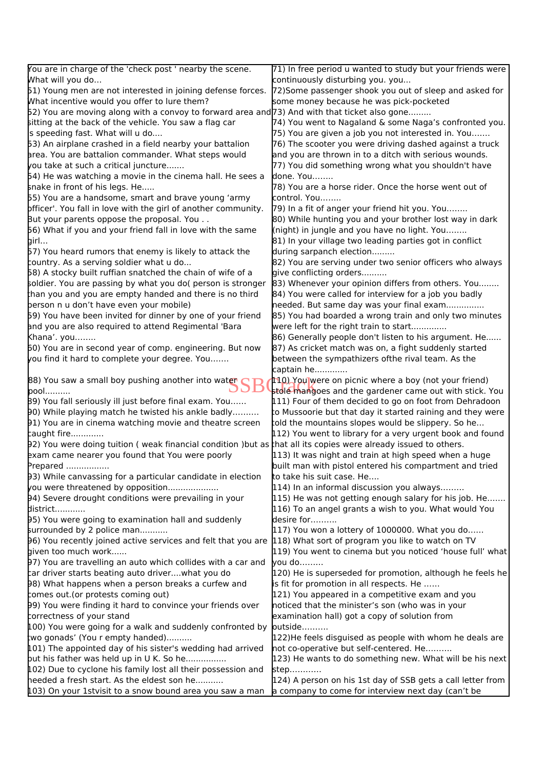| continuously disturbing you. you<br>[72] Some passenger shook you out of sleep and asked for<br>some money because he was pick-pocketed<br>52) You are moving along with a convoy to forward area and [73) And with that ticket also gone<br>74) You went to Nagaland & some Naga's confronted you.<br>is speeding fast. What will u do<br>75) You are given a job you not interested in. You<br>76) The scooter you were driving dashed against a truck<br>area. You are battalion commander. What steps would<br>and you are thrown in to a ditch with serious wounds.<br>you take at such a critical juncture<br>77) You did something wrong what you shouldn't have<br>54) He was watching a movie in the cinema hall. He sees a<br>done. You<br>snake in front of his legs. He<br>78) You are a horse rider. Once the horse went out of<br>55) You are a handsome, smart and brave young 'army<br>control. You<br>pfficer'. You fall in love with the girl of another community.<br>79) In a fit of anger your friend hit you. You<br>80) While hunting you and your brother lost way in dark<br>But your parents oppose the proposal. You<br>56) What if you and your friend fall in love with the same<br>(night) in jungle and you have no light. You<br>81) In your village two leading parties got in conflict<br>girl<br>57) You heard rumors that enemy is likely to attack the<br>during sarpanch election<br>country. As a serving soldier what u do<br>82) You are serving under two senior officers who always<br>58) A stocky built ruffian snatched the chain of wife of a<br>give conflicting orders<br>soldier. You are passing by what you do( person is stronger<br>83) Whenever your opinion differs from others. You<br>than you and you are empty handed and there is no third<br>84) You were called for interview for a job you badly<br>person n u don't have even your mobile)<br>needed. But same day was your final exam<br>59) You have been invited for dinner by one of your friend<br>85) You had boarded a wrong train and only two minutes<br>and you are also required to attend Regimental 'Bara<br>were left for the right train to start<br>86) Generally people don't listen to his argument. He<br>Khana'. you<br>60) You are in second year of comp. engineering. But now<br>87) As cricket match was on, a fight suddenly started<br>you find it hard to complete your degree. You<br>between the sympathizers ofthe rival team. As the<br>captain he<br>88) You saw a small boy pushing another into waten<br><b>10)</b> You were on picnic where a boy (not your friend)<br>stole mangoes and the gardener came out with stick. You<br>$pool$<br>89) You fall seriously ill just before final exam. You<br>111) Four of them decided to go on foot from Dehradoon<br>90) While playing match he twisted his ankle badly<br>to Mussoorie but that day it started raining and they were<br>91) You are in cinema watching movie and theatre screen<br>told the mountains slopes would be slippery. So he<br>[12] You went to library for a very urgent book and found<br>92) You were doing tuition (weak financial condition) but as that all its copies were already issued to others.<br>113) It was night and train at high speed when a huge<br>built man with pistol entered his compartment and tried<br>to take his suit case. He<br>[114] In an informal discussion you always<br>94) Severe drought conditions were prevailing in your<br>$ 115\rangle$ He was not getting enough salary for his job. He<br>116) To an angel grants a wish to you. What would You<br>95) You were going to examination hall and suddenly<br>desire for<br>surrounded by 2 police man<br>$[117)$ You won a lottery of 1000000. What you do<br>96) You recently joined active services and felt that you are<br>[118] What sort of program you like to watch on TV<br>given too much work<br>119) You went to cinema but you noticed 'house full' what<br>97) You are travelling an auto which collides with a car and<br>$\mathsf{v}$ ou do<br>car driver starts beating auto driverwhat you do<br>120) He is superseded for promotion, although he feels he<br>98) What happens when a person breaks a curfew and<br>is fit for promotion in all respects. He<br>comes out (or protests coming out)<br>121) You appeared in a competitive exam and you<br>99) You were finding it hard to convince your friends over<br>noticed that the minister's son (who was in your<br>correctness of your stand<br>examination hall) got a copy of solution from<br>butside<br>100) You were going for a walk and suddenly confronted by<br>two gonads' (You r empty handed)<br>122) He feels disguised as people with whom he deals are<br>not co-operative but self-centered. He<br>101) The appointed day of his sister's wedding had arrived<br>but his father was held up in U K. So he<br>[123] He wants to do something new. What will be his next<br>102) Due to cyclone his family lost all their possession and<br>step<br>heeded a fresh start. As the eldest son he<br>124) A person on his 1st day of SSB gets a call letter from<br>a company to come for interview next day (can't be | You are in charge of the 'check post ' nearby the scene.    | 71) In free period u wanted to study but your friends were |
|-----------------------------------------------------------------------------------------------------------------------------------------------------------------------------------------------------------------------------------------------------------------------------------------------------------------------------------------------------------------------------------------------------------------------------------------------------------------------------------------------------------------------------------------------------------------------------------------------------------------------------------------------------------------------------------------------------------------------------------------------------------------------------------------------------------------------------------------------------------------------------------------------------------------------------------------------------------------------------------------------------------------------------------------------------------------------------------------------------------------------------------------------------------------------------------------------------------------------------------------------------------------------------------------------------------------------------------------------------------------------------------------------------------------------------------------------------------------------------------------------------------------------------------------------------------------------------------------------------------------------------------------------------------------------------------------------------------------------------------------------------------------------------------------------------------------------------------------------------------------------------------------------------------------------------------------------------------------------------------------------------------------------------------------------------------------------------------------------------------------------------------------------------------------------------------------------------------------------------------------------------------------------------------------------------------------------------------------------------------------------------------------------------------------------------------------------------------------------------------------------------------------------------------------------------------------------------------------------------------------------------------------------------------------------------------------------------------------------------------------------------------------------------------------------------------------------------------------------------------------------------------------------------------------------------------------------------------------------------------------------------------------------------------------------------------------------------------------------------------------------------------------------------------------------------------------------------------------------------------------------------------------------------------------------------------------------------------------------------------------------------------------------------------------------------------------------------------------------------------------------------------------------------------------------------------------------------------------------------------------------------------------------------------------------------------------------------------------------------------------------------------------------------------------------------------------------------------------------------------------------------------------------------------------------------------------------------------------------------------------------------------------------------------------------------------------------------------------------------------------------------------------------------------------------------------------------------------------------------------------------------------------------------------------------------------------------------------------------------------------------------------------------------------------------------------------------------------------------------------------------------------------------------------------------------------------------------------------------------------------------------------------------------------------------------------------------------------------------------------------------------------------------------------------------------------------------------------------------------------------------------------------------------------------------------------------------------------------------------------------------------------------------------------------------------------------------------------------------------------------------------------------------------------------------------------------------------------------------------------|-------------------------------------------------------------|------------------------------------------------------------|
|                                                                                                                                                                                                                                                                                                                                                                                                                                                                                                                                                                                                                                                                                                                                                                                                                                                                                                                                                                                                                                                                                                                                                                                                                                                                                                                                                                                                                                                                                                                                                                                                                                                                                                                                                                                                                                                                                                                                                                                                                                                                                                                                                                                                                                                                                                                                                                                                                                                                                                                                                                                                                                                                                                                                                                                                                                                                                                                                                                                                                                                                                                                                                                                                                                                                                                                                                                                                                                                                                                                                                                                                                                                                                                                                                                                                                                                                                                                                                                                                                                                                                                                                                                                                                                                                                                                                                                                                                                                                                                                                                                                                                                                                                                                                                                                                                                                                                                                                                                                                                                                                                                                                                                                                                                   | What will you do                                            |                                                            |
|                                                                                                                                                                                                                                                                                                                                                                                                                                                                                                                                                                                                                                                                                                                                                                                                                                                                                                                                                                                                                                                                                                                                                                                                                                                                                                                                                                                                                                                                                                                                                                                                                                                                                                                                                                                                                                                                                                                                                                                                                                                                                                                                                                                                                                                                                                                                                                                                                                                                                                                                                                                                                                                                                                                                                                                                                                                                                                                                                                                                                                                                                                                                                                                                                                                                                                                                                                                                                                                                                                                                                                                                                                                                                                                                                                                                                                                                                                                                                                                                                                                                                                                                                                                                                                                                                                                                                                                                                                                                                                                                                                                                                                                                                                                                                                                                                                                                                                                                                                                                                                                                                                                                                                                                                                   | 51) Young men are not interested in joining defense forces. |                                                            |
|                                                                                                                                                                                                                                                                                                                                                                                                                                                                                                                                                                                                                                                                                                                                                                                                                                                                                                                                                                                                                                                                                                                                                                                                                                                                                                                                                                                                                                                                                                                                                                                                                                                                                                                                                                                                                                                                                                                                                                                                                                                                                                                                                                                                                                                                                                                                                                                                                                                                                                                                                                                                                                                                                                                                                                                                                                                                                                                                                                                                                                                                                                                                                                                                                                                                                                                                                                                                                                                                                                                                                                                                                                                                                                                                                                                                                                                                                                                                                                                                                                                                                                                                                                                                                                                                                                                                                                                                                                                                                                                                                                                                                                                                                                                                                                                                                                                                                                                                                                                                                                                                                                                                                                                                                                   | What incentive would you offer to lure them?                |                                                            |
|                                                                                                                                                                                                                                                                                                                                                                                                                                                                                                                                                                                                                                                                                                                                                                                                                                                                                                                                                                                                                                                                                                                                                                                                                                                                                                                                                                                                                                                                                                                                                                                                                                                                                                                                                                                                                                                                                                                                                                                                                                                                                                                                                                                                                                                                                                                                                                                                                                                                                                                                                                                                                                                                                                                                                                                                                                                                                                                                                                                                                                                                                                                                                                                                                                                                                                                                                                                                                                                                                                                                                                                                                                                                                                                                                                                                                                                                                                                                                                                                                                                                                                                                                                                                                                                                                                                                                                                                                                                                                                                                                                                                                                                                                                                                                                                                                                                                                                                                                                                                                                                                                                                                                                                                                                   |                                                             |                                                            |
|                                                                                                                                                                                                                                                                                                                                                                                                                                                                                                                                                                                                                                                                                                                                                                                                                                                                                                                                                                                                                                                                                                                                                                                                                                                                                                                                                                                                                                                                                                                                                                                                                                                                                                                                                                                                                                                                                                                                                                                                                                                                                                                                                                                                                                                                                                                                                                                                                                                                                                                                                                                                                                                                                                                                                                                                                                                                                                                                                                                                                                                                                                                                                                                                                                                                                                                                                                                                                                                                                                                                                                                                                                                                                                                                                                                                                                                                                                                                                                                                                                                                                                                                                                                                                                                                                                                                                                                                                                                                                                                                                                                                                                                                                                                                                                                                                                                                                                                                                                                                                                                                                                                                                                                                                                   | sitting at the back of the vehicle. You saw a flag car      |                                                            |
|                                                                                                                                                                                                                                                                                                                                                                                                                                                                                                                                                                                                                                                                                                                                                                                                                                                                                                                                                                                                                                                                                                                                                                                                                                                                                                                                                                                                                                                                                                                                                                                                                                                                                                                                                                                                                                                                                                                                                                                                                                                                                                                                                                                                                                                                                                                                                                                                                                                                                                                                                                                                                                                                                                                                                                                                                                                                                                                                                                                                                                                                                                                                                                                                                                                                                                                                                                                                                                                                                                                                                                                                                                                                                                                                                                                                                                                                                                                                                                                                                                                                                                                                                                                                                                                                                                                                                                                                                                                                                                                                                                                                                                                                                                                                                                                                                                                                                                                                                                                                                                                                                                                                                                                                                                   |                                                             |                                                            |
|                                                                                                                                                                                                                                                                                                                                                                                                                                                                                                                                                                                                                                                                                                                                                                                                                                                                                                                                                                                                                                                                                                                                                                                                                                                                                                                                                                                                                                                                                                                                                                                                                                                                                                                                                                                                                                                                                                                                                                                                                                                                                                                                                                                                                                                                                                                                                                                                                                                                                                                                                                                                                                                                                                                                                                                                                                                                                                                                                                                                                                                                                                                                                                                                                                                                                                                                                                                                                                                                                                                                                                                                                                                                                                                                                                                                                                                                                                                                                                                                                                                                                                                                                                                                                                                                                                                                                                                                                                                                                                                                                                                                                                                                                                                                                                                                                                                                                                                                                                                                                                                                                                                                                                                                                                   | 53) An airplane crashed in a field nearby your battalion    |                                                            |
|                                                                                                                                                                                                                                                                                                                                                                                                                                                                                                                                                                                                                                                                                                                                                                                                                                                                                                                                                                                                                                                                                                                                                                                                                                                                                                                                                                                                                                                                                                                                                                                                                                                                                                                                                                                                                                                                                                                                                                                                                                                                                                                                                                                                                                                                                                                                                                                                                                                                                                                                                                                                                                                                                                                                                                                                                                                                                                                                                                                                                                                                                                                                                                                                                                                                                                                                                                                                                                                                                                                                                                                                                                                                                                                                                                                                                                                                                                                                                                                                                                                                                                                                                                                                                                                                                                                                                                                                                                                                                                                                                                                                                                                                                                                                                                                                                                                                                                                                                                                                                                                                                                                                                                                                                                   |                                                             |                                                            |
|                                                                                                                                                                                                                                                                                                                                                                                                                                                                                                                                                                                                                                                                                                                                                                                                                                                                                                                                                                                                                                                                                                                                                                                                                                                                                                                                                                                                                                                                                                                                                                                                                                                                                                                                                                                                                                                                                                                                                                                                                                                                                                                                                                                                                                                                                                                                                                                                                                                                                                                                                                                                                                                                                                                                                                                                                                                                                                                                                                                                                                                                                                                                                                                                                                                                                                                                                                                                                                                                                                                                                                                                                                                                                                                                                                                                                                                                                                                                                                                                                                                                                                                                                                                                                                                                                                                                                                                                                                                                                                                                                                                                                                                                                                                                                                                                                                                                                                                                                                                                                                                                                                                                                                                                                                   |                                                             |                                                            |
|                                                                                                                                                                                                                                                                                                                                                                                                                                                                                                                                                                                                                                                                                                                                                                                                                                                                                                                                                                                                                                                                                                                                                                                                                                                                                                                                                                                                                                                                                                                                                                                                                                                                                                                                                                                                                                                                                                                                                                                                                                                                                                                                                                                                                                                                                                                                                                                                                                                                                                                                                                                                                                                                                                                                                                                                                                                                                                                                                                                                                                                                                                                                                                                                                                                                                                                                                                                                                                                                                                                                                                                                                                                                                                                                                                                                                                                                                                                                                                                                                                                                                                                                                                                                                                                                                                                                                                                                                                                                                                                                                                                                                                                                                                                                                                                                                                                                                                                                                                                                                                                                                                                                                                                                                                   |                                                             |                                                            |
|                                                                                                                                                                                                                                                                                                                                                                                                                                                                                                                                                                                                                                                                                                                                                                                                                                                                                                                                                                                                                                                                                                                                                                                                                                                                                                                                                                                                                                                                                                                                                                                                                                                                                                                                                                                                                                                                                                                                                                                                                                                                                                                                                                                                                                                                                                                                                                                                                                                                                                                                                                                                                                                                                                                                                                                                                                                                                                                                                                                                                                                                                                                                                                                                                                                                                                                                                                                                                                                                                                                                                                                                                                                                                                                                                                                                                                                                                                                                                                                                                                                                                                                                                                                                                                                                                                                                                                                                                                                                                                                                                                                                                                                                                                                                                                                                                                                                                                                                                                                                                                                                                                                                                                                                                                   |                                                             |                                                            |
|                                                                                                                                                                                                                                                                                                                                                                                                                                                                                                                                                                                                                                                                                                                                                                                                                                                                                                                                                                                                                                                                                                                                                                                                                                                                                                                                                                                                                                                                                                                                                                                                                                                                                                                                                                                                                                                                                                                                                                                                                                                                                                                                                                                                                                                                                                                                                                                                                                                                                                                                                                                                                                                                                                                                                                                                                                                                                                                                                                                                                                                                                                                                                                                                                                                                                                                                                                                                                                                                                                                                                                                                                                                                                                                                                                                                                                                                                                                                                                                                                                                                                                                                                                                                                                                                                                                                                                                                                                                                                                                                                                                                                                                                                                                                                                                                                                                                                                                                                                                                                                                                                                                                                                                                                                   |                                                             |                                                            |
|                                                                                                                                                                                                                                                                                                                                                                                                                                                                                                                                                                                                                                                                                                                                                                                                                                                                                                                                                                                                                                                                                                                                                                                                                                                                                                                                                                                                                                                                                                                                                                                                                                                                                                                                                                                                                                                                                                                                                                                                                                                                                                                                                                                                                                                                                                                                                                                                                                                                                                                                                                                                                                                                                                                                                                                                                                                                                                                                                                                                                                                                                                                                                                                                                                                                                                                                                                                                                                                                                                                                                                                                                                                                                                                                                                                                                                                                                                                                                                                                                                                                                                                                                                                                                                                                                                                                                                                                                                                                                                                                                                                                                                                                                                                                                                                                                                                                                                                                                                                                                                                                                                                                                                                                                                   |                                                             |                                                            |
|                                                                                                                                                                                                                                                                                                                                                                                                                                                                                                                                                                                                                                                                                                                                                                                                                                                                                                                                                                                                                                                                                                                                                                                                                                                                                                                                                                                                                                                                                                                                                                                                                                                                                                                                                                                                                                                                                                                                                                                                                                                                                                                                                                                                                                                                                                                                                                                                                                                                                                                                                                                                                                                                                                                                                                                                                                                                                                                                                                                                                                                                                                                                                                                                                                                                                                                                                                                                                                                                                                                                                                                                                                                                                                                                                                                                                                                                                                                                                                                                                                                                                                                                                                                                                                                                                                                                                                                                                                                                                                                                                                                                                                                                                                                                                                                                                                                                                                                                                                                                                                                                                                                                                                                                                                   |                                                             |                                                            |
|                                                                                                                                                                                                                                                                                                                                                                                                                                                                                                                                                                                                                                                                                                                                                                                                                                                                                                                                                                                                                                                                                                                                                                                                                                                                                                                                                                                                                                                                                                                                                                                                                                                                                                                                                                                                                                                                                                                                                                                                                                                                                                                                                                                                                                                                                                                                                                                                                                                                                                                                                                                                                                                                                                                                                                                                                                                                                                                                                                                                                                                                                                                                                                                                                                                                                                                                                                                                                                                                                                                                                                                                                                                                                                                                                                                                                                                                                                                                                                                                                                                                                                                                                                                                                                                                                                                                                                                                                                                                                                                                                                                                                                                                                                                                                                                                                                                                                                                                                                                                                                                                                                                                                                                                                                   |                                                             |                                                            |
|                                                                                                                                                                                                                                                                                                                                                                                                                                                                                                                                                                                                                                                                                                                                                                                                                                                                                                                                                                                                                                                                                                                                                                                                                                                                                                                                                                                                                                                                                                                                                                                                                                                                                                                                                                                                                                                                                                                                                                                                                                                                                                                                                                                                                                                                                                                                                                                                                                                                                                                                                                                                                                                                                                                                                                                                                                                                                                                                                                                                                                                                                                                                                                                                                                                                                                                                                                                                                                                                                                                                                                                                                                                                                                                                                                                                                                                                                                                                                                                                                                                                                                                                                                                                                                                                                                                                                                                                                                                                                                                                                                                                                                                                                                                                                                                                                                                                                                                                                                                                                                                                                                                                                                                                                                   |                                                             |                                                            |
|                                                                                                                                                                                                                                                                                                                                                                                                                                                                                                                                                                                                                                                                                                                                                                                                                                                                                                                                                                                                                                                                                                                                                                                                                                                                                                                                                                                                                                                                                                                                                                                                                                                                                                                                                                                                                                                                                                                                                                                                                                                                                                                                                                                                                                                                                                                                                                                                                                                                                                                                                                                                                                                                                                                                                                                                                                                                                                                                                                                                                                                                                                                                                                                                                                                                                                                                                                                                                                                                                                                                                                                                                                                                                                                                                                                                                                                                                                                                                                                                                                                                                                                                                                                                                                                                                                                                                                                                                                                                                                                                                                                                                                                                                                                                                                                                                                                                                                                                                                                                                                                                                                                                                                                                                                   |                                                             |                                                            |
|                                                                                                                                                                                                                                                                                                                                                                                                                                                                                                                                                                                                                                                                                                                                                                                                                                                                                                                                                                                                                                                                                                                                                                                                                                                                                                                                                                                                                                                                                                                                                                                                                                                                                                                                                                                                                                                                                                                                                                                                                                                                                                                                                                                                                                                                                                                                                                                                                                                                                                                                                                                                                                                                                                                                                                                                                                                                                                                                                                                                                                                                                                                                                                                                                                                                                                                                                                                                                                                                                                                                                                                                                                                                                                                                                                                                                                                                                                                                                                                                                                                                                                                                                                                                                                                                                                                                                                                                                                                                                                                                                                                                                                                                                                                                                                                                                                                                                                                                                                                                                                                                                                                                                                                                                                   |                                                             |                                                            |
|                                                                                                                                                                                                                                                                                                                                                                                                                                                                                                                                                                                                                                                                                                                                                                                                                                                                                                                                                                                                                                                                                                                                                                                                                                                                                                                                                                                                                                                                                                                                                                                                                                                                                                                                                                                                                                                                                                                                                                                                                                                                                                                                                                                                                                                                                                                                                                                                                                                                                                                                                                                                                                                                                                                                                                                                                                                                                                                                                                                                                                                                                                                                                                                                                                                                                                                                                                                                                                                                                                                                                                                                                                                                                                                                                                                                                                                                                                                                                                                                                                                                                                                                                                                                                                                                                                                                                                                                                                                                                                                                                                                                                                                                                                                                                                                                                                                                                                                                                                                                                                                                                                                                                                                                                                   |                                                             |                                                            |
|                                                                                                                                                                                                                                                                                                                                                                                                                                                                                                                                                                                                                                                                                                                                                                                                                                                                                                                                                                                                                                                                                                                                                                                                                                                                                                                                                                                                                                                                                                                                                                                                                                                                                                                                                                                                                                                                                                                                                                                                                                                                                                                                                                                                                                                                                                                                                                                                                                                                                                                                                                                                                                                                                                                                                                                                                                                                                                                                                                                                                                                                                                                                                                                                                                                                                                                                                                                                                                                                                                                                                                                                                                                                                                                                                                                                                                                                                                                                                                                                                                                                                                                                                                                                                                                                                                                                                                                                                                                                                                                                                                                                                                                                                                                                                                                                                                                                                                                                                                                                                                                                                                                                                                                                                                   |                                                             |                                                            |
|                                                                                                                                                                                                                                                                                                                                                                                                                                                                                                                                                                                                                                                                                                                                                                                                                                                                                                                                                                                                                                                                                                                                                                                                                                                                                                                                                                                                                                                                                                                                                                                                                                                                                                                                                                                                                                                                                                                                                                                                                                                                                                                                                                                                                                                                                                                                                                                                                                                                                                                                                                                                                                                                                                                                                                                                                                                                                                                                                                                                                                                                                                                                                                                                                                                                                                                                                                                                                                                                                                                                                                                                                                                                                                                                                                                                                                                                                                                                                                                                                                                                                                                                                                                                                                                                                                                                                                                                                                                                                                                                                                                                                                                                                                                                                                                                                                                                                                                                                                                                                                                                                                                                                                                                                                   |                                                             |                                                            |
|                                                                                                                                                                                                                                                                                                                                                                                                                                                                                                                                                                                                                                                                                                                                                                                                                                                                                                                                                                                                                                                                                                                                                                                                                                                                                                                                                                                                                                                                                                                                                                                                                                                                                                                                                                                                                                                                                                                                                                                                                                                                                                                                                                                                                                                                                                                                                                                                                                                                                                                                                                                                                                                                                                                                                                                                                                                                                                                                                                                                                                                                                                                                                                                                                                                                                                                                                                                                                                                                                                                                                                                                                                                                                                                                                                                                                                                                                                                                                                                                                                                                                                                                                                                                                                                                                                                                                                                                                                                                                                                                                                                                                                                                                                                                                                                                                                                                                                                                                                                                                                                                                                                                                                                                                                   |                                                             |                                                            |
|                                                                                                                                                                                                                                                                                                                                                                                                                                                                                                                                                                                                                                                                                                                                                                                                                                                                                                                                                                                                                                                                                                                                                                                                                                                                                                                                                                                                                                                                                                                                                                                                                                                                                                                                                                                                                                                                                                                                                                                                                                                                                                                                                                                                                                                                                                                                                                                                                                                                                                                                                                                                                                                                                                                                                                                                                                                                                                                                                                                                                                                                                                                                                                                                                                                                                                                                                                                                                                                                                                                                                                                                                                                                                                                                                                                                                                                                                                                                                                                                                                                                                                                                                                                                                                                                                                                                                                                                                                                                                                                                                                                                                                                                                                                                                                                                                                                                                                                                                                                                                                                                                                                                                                                                                                   |                                                             |                                                            |
|                                                                                                                                                                                                                                                                                                                                                                                                                                                                                                                                                                                                                                                                                                                                                                                                                                                                                                                                                                                                                                                                                                                                                                                                                                                                                                                                                                                                                                                                                                                                                                                                                                                                                                                                                                                                                                                                                                                                                                                                                                                                                                                                                                                                                                                                                                                                                                                                                                                                                                                                                                                                                                                                                                                                                                                                                                                                                                                                                                                                                                                                                                                                                                                                                                                                                                                                                                                                                                                                                                                                                                                                                                                                                                                                                                                                                                                                                                                                                                                                                                                                                                                                                                                                                                                                                                                                                                                                                                                                                                                                                                                                                                                                                                                                                                                                                                                                                                                                                                                                                                                                                                                                                                                                                                   |                                                             |                                                            |
|                                                                                                                                                                                                                                                                                                                                                                                                                                                                                                                                                                                                                                                                                                                                                                                                                                                                                                                                                                                                                                                                                                                                                                                                                                                                                                                                                                                                                                                                                                                                                                                                                                                                                                                                                                                                                                                                                                                                                                                                                                                                                                                                                                                                                                                                                                                                                                                                                                                                                                                                                                                                                                                                                                                                                                                                                                                                                                                                                                                                                                                                                                                                                                                                                                                                                                                                                                                                                                                                                                                                                                                                                                                                                                                                                                                                                                                                                                                                                                                                                                                                                                                                                                                                                                                                                                                                                                                                                                                                                                                                                                                                                                                                                                                                                                                                                                                                                                                                                                                                                                                                                                                                                                                                                                   |                                                             |                                                            |
|                                                                                                                                                                                                                                                                                                                                                                                                                                                                                                                                                                                                                                                                                                                                                                                                                                                                                                                                                                                                                                                                                                                                                                                                                                                                                                                                                                                                                                                                                                                                                                                                                                                                                                                                                                                                                                                                                                                                                                                                                                                                                                                                                                                                                                                                                                                                                                                                                                                                                                                                                                                                                                                                                                                                                                                                                                                                                                                                                                                                                                                                                                                                                                                                                                                                                                                                                                                                                                                                                                                                                                                                                                                                                                                                                                                                                                                                                                                                                                                                                                                                                                                                                                                                                                                                                                                                                                                                                                                                                                                                                                                                                                                                                                                                                                                                                                                                                                                                                                                                                                                                                                                                                                                                                                   |                                                             |                                                            |
|                                                                                                                                                                                                                                                                                                                                                                                                                                                                                                                                                                                                                                                                                                                                                                                                                                                                                                                                                                                                                                                                                                                                                                                                                                                                                                                                                                                                                                                                                                                                                                                                                                                                                                                                                                                                                                                                                                                                                                                                                                                                                                                                                                                                                                                                                                                                                                                                                                                                                                                                                                                                                                                                                                                                                                                                                                                                                                                                                                                                                                                                                                                                                                                                                                                                                                                                                                                                                                                                                                                                                                                                                                                                                                                                                                                                                                                                                                                                                                                                                                                                                                                                                                                                                                                                                                                                                                                                                                                                                                                                                                                                                                                                                                                                                                                                                                                                                                                                                                                                                                                                                                                                                                                                                                   |                                                             |                                                            |
|                                                                                                                                                                                                                                                                                                                                                                                                                                                                                                                                                                                                                                                                                                                                                                                                                                                                                                                                                                                                                                                                                                                                                                                                                                                                                                                                                                                                                                                                                                                                                                                                                                                                                                                                                                                                                                                                                                                                                                                                                                                                                                                                                                                                                                                                                                                                                                                                                                                                                                                                                                                                                                                                                                                                                                                                                                                                                                                                                                                                                                                                                                                                                                                                                                                                                                                                                                                                                                                                                                                                                                                                                                                                                                                                                                                                                                                                                                                                                                                                                                                                                                                                                                                                                                                                                                                                                                                                                                                                                                                                                                                                                                                                                                                                                                                                                                                                                                                                                                                                                                                                                                                                                                                                                                   |                                                             |                                                            |
|                                                                                                                                                                                                                                                                                                                                                                                                                                                                                                                                                                                                                                                                                                                                                                                                                                                                                                                                                                                                                                                                                                                                                                                                                                                                                                                                                                                                                                                                                                                                                                                                                                                                                                                                                                                                                                                                                                                                                                                                                                                                                                                                                                                                                                                                                                                                                                                                                                                                                                                                                                                                                                                                                                                                                                                                                                                                                                                                                                                                                                                                                                                                                                                                                                                                                                                                                                                                                                                                                                                                                                                                                                                                                                                                                                                                                                                                                                                                                                                                                                                                                                                                                                                                                                                                                                                                                                                                                                                                                                                                                                                                                                                                                                                                                                                                                                                                                                                                                                                                                                                                                                                                                                                                                                   |                                                             |                                                            |
|                                                                                                                                                                                                                                                                                                                                                                                                                                                                                                                                                                                                                                                                                                                                                                                                                                                                                                                                                                                                                                                                                                                                                                                                                                                                                                                                                                                                                                                                                                                                                                                                                                                                                                                                                                                                                                                                                                                                                                                                                                                                                                                                                                                                                                                                                                                                                                                                                                                                                                                                                                                                                                                                                                                                                                                                                                                                                                                                                                                                                                                                                                                                                                                                                                                                                                                                                                                                                                                                                                                                                                                                                                                                                                                                                                                                                                                                                                                                                                                                                                                                                                                                                                                                                                                                                                                                                                                                                                                                                                                                                                                                                                                                                                                                                                                                                                                                                                                                                                                                                                                                                                                                                                                                                                   |                                                             |                                                            |
|                                                                                                                                                                                                                                                                                                                                                                                                                                                                                                                                                                                                                                                                                                                                                                                                                                                                                                                                                                                                                                                                                                                                                                                                                                                                                                                                                                                                                                                                                                                                                                                                                                                                                                                                                                                                                                                                                                                                                                                                                                                                                                                                                                                                                                                                                                                                                                                                                                                                                                                                                                                                                                                                                                                                                                                                                                                                                                                                                                                                                                                                                                                                                                                                                                                                                                                                                                                                                                                                                                                                                                                                                                                                                                                                                                                                                                                                                                                                                                                                                                                                                                                                                                                                                                                                                                                                                                                                                                                                                                                                                                                                                                                                                                                                                                                                                                                                                                                                                                                                                                                                                                                                                                                                                                   |                                                             |                                                            |
|                                                                                                                                                                                                                                                                                                                                                                                                                                                                                                                                                                                                                                                                                                                                                                                                                                                                                                                                                                                                                                                                                                                                                                                                                                                                                                                                                                                                                                                                                                                                                                                                                                                                                                                                                                                                                                                                                                                                                                                                                                                                                                                                                                                                                                                                                                                                                                                                                                                                                                                                                                                                                                                                                                                                                                                                                                                                                                                                                                                                                                                                                                                                                                                                                                                                                                                                                                                                                                                                                                                                                                                                                                                                                                                                                                                                                                                                                                                                                                                                                                                                                                                                                                                                                                                                                                                                                                                                                                                                                                                                                                                                                                                                                                                                                                                                                                                                                                                                                                                                                                                                                                                                                                                                                                   |                                                             |                                                            |
|                                                                                                                                                                                                                                                                                                                                                                                                                                                                                                                                                                                                                                                                                                                                                                                                                                                                                                                                                                                                                                                                                                                                                                                                                                                                                                                                                                                                                                                                                                                                                                                                                                                                                                                                                                                                                                                                                                                                                                                                                                                                                                                                                                                                                                                                                                                                                                                                                                                                                                                                                                                                                                                                                                                                                                                                                                                                                                                                                                                                                                                                                                                                                                                                                                                                                                                                                                                                                                                                                                                                                                                                                                                                                                                                                                                                                                                                                                                                                                                                                                                                                                                                                                                                                                                                                                                                                                                                                                                                                                                                                                                                                                                                                                                                                                                                                                                                                                                                                                                                                                                                                                                                                                                                                                   | caught fire                                                 |                                                            |
|                                                                                                                                                                                                                                                                                                                                                                                                                                                                                                                                                                                                                                                                                                                                                                                                                                                                                                                                                                                                                                                                                                                                                                                                                                                                                                                                                                                                                                                                                                                                                                                                                                                                                                                                                                                                                                                                                                                                                                                                                                                                                                                                                                                                                                                                                                                                                                                                                                                                                                                                                                                                                                                                                                                                                                                                                                                                                                                                                                                                                                                                                                                                                                                                                                                                                                                                                                                                                                                                                                                                                                                                                                                                                                                                                                                                                                                                                                                                                                                                                                                                                                                                                                                                                                                                                                                                                                                                                                                                                                                                                                                                                                                                                                                                                                                                                                                                                                                                                                                                                                                                                                                                                                                                                                   |                                                             |                                                            |
|                                                                                                                                                                                                                                                                                                                                                                                                                                                                                                                                                                                                                                                                                                                                                                                                                                                                                                                                                                                                                                                                                                                                                                                                                                                                                                                                                                                                                                                                                                                                                                                                                                                                                                                                                                                                                                                                                                                                                                                                                                                                                                                                                                                                                                                                                                                                                                                                                                                                                                                                                                                                                                                                                                                                                                                                                                                                                                                                                                                                                                                                                                                                                                                                                                                                                                                                                                                                                                                                                                                                                                                                                                                                                                                                                                                                                                                                                                                                                                                                                                                                                                                                                                                                                                                                                                                                                                                                                                                                                                                                                                                                                                                                                                                                                                                                                                                                                                                                                                                                                                                                                                                                                                                                                                   | exam came nearer you found that You were poorly             |                                                            |
|                                                                                                                                                                                                                                                                                                                                                                                                                                                                                                                                                                                                                                                                                                                                                                                                                                                                                                                                                                                                                                                                                                                                                                                                                                                                                                                                                                                                                                                                                                                                                                                                                                                                                                                                                                                                                                                                                                                                                                                                                                                                                                                                                                                                                                                                                                                                                                                                                                                                                                                                                                                                                                                                                                                                                                                                                                                                                                                                                                                                                                                                                                                                                                                                                                                                                                                                                                                                                                                                                                                                                                                                                                                                                                                                                                                                                                                                                                                                                                                                                                                                                                                                                                                                                                                                                                                                                                                                                                                                                                                                                                                                                                                                                                                                                                                                                                                                                                                                                                                                                                                                                                                                                                                                                                   | Prepared                                                    |                                                            |
|                                                                                                                                                                                                                                                                                                                                                                                                                                                                                                                                                                                                                                                                                                                                                                                                                                                                                                                                                                                                                                                                                                                                                                                                                                                                                                                                                                                                                                                                                                                                                                                                                                                                                                                                                                                                                                                                                                                                                                                                                                                                                                                                                                                                                                                                                                                                                                                                                                                                                                                                                                                                                                                                                                                                                                                                                                                                                                                                                                                                                                                                                                                                                                                                                                                                                                                                                                                                                                                                                                                                                                                                                                                                                                                                                                                                                                                                                                                                                                                                                                                                                                                                                                                                                                                                                                                                                                                                                                                                                                                                                                                                                                                                                                                                                                                                                                                                                                                                                                                                                                                                                                                                                                                                                                   | 93) While canvassing for a particular candidate in election |                                                            |
|                                                                                                                                                                                                                                                                                                                                                                                                                                                                                                                                                                                                                                                                                                                                                                                                                                                                                                                                                                                                                                                                                                                                                                                                                                                                                                                                                                                                                                                                                                                                                                                                                                                                                                                                                                                                                                                                                                                                                                                                                                                                                                                                                                                                                                                                                                                                                                                                                                                                                                                                                                                                                                                                                                                                                                                                                                                                                                                                                                                                                                                                                                                                                                                                                                                                                                                                                                                                                                                                                                                                                                                                                                                                                                                                                                                                                                                                                                                                                                                                                                                                                                                                                                                                                                                                                                                                                                                                                                                                                                                                                                                                                                                                                                                                                                                                                                                                                                                                                                                                                                                                                                                                                                                                                                   | you were threatened by opposition                           |                                                            |
|                                                                                                                                                                                                                                                                                                                                                                                                                                                                                                                                                                                                                                                                                                                                                                                                                                                                                                                                                                                                                                                                                                                                                                                                                                                                                                                                                                                                                                                                                                                                                                                                                                                                                                                                                                                                                                                                                                                                                                                                                                                                                                                                                                                                                                                                                                                                                                                                                                                                                                                                                                                                                                                                                                                                                                                                                                                                                                                                                                                                                                                                                                                                                                                                                                                                                                                                                                                                                                                                                                                                                                                                                                                                                                                                                                                                                                                                                                                                                                                                                                                                                                                                                                                                                                                                                                                                                                                                                                                                                                                                                                                                                                                                                                                                                                                                                                                                                                                                                                                                                                                                                                                                                                                                                                   |                                                             |                                                            |
|                                                                                                                                                                                                                                                                                                                                                                                                                                                                                                                                                                                                                                                                                                                                                                                                                                                                                                                                                                                                                                                                                                                                                                                                                                                                                                                                                                                                                                                                                                                                                                                                                                                                                                                                                                                                                                                                                                                                                                                                                                                                                                                                                                                                                                                                                                                                                                                                                                                                                                                                                                                                                                                                                                                                                                                                                                                                                                                                                                                                                                                                                                                                                                                                                                                                                                                                                                                                                                                                                                                                                                                                                                                                                                                                                                                                                                                                                                                                                                                                                                                                                                                                                                                                                                                                                                                                                                                                                                                                                                                                                                                                                                                                                                                                                                                                                                                                                                                                                                                                                                                                                                                                                                                                                                   | district                                                    |                                                            |
|                                                                                                                                                                                                                                                                                                                                                                                                                                                                                                                                                                                                                                                                                                                                                                                                                                                                                                                                                                                                                                                                                                                                                                                                                                                                                                                                                                                                                                                                                                                                                                                                                                                                                                                                                                                                                                                                                                                                                                                                                                                                                                                                                                                                                                                                                                                                                                                                                                                                                                                                                                                                                                                                                                                                                                                                                                                                                                                                                                                                                                                                                                                                                                                                                                                                                                                                                                                                                                                                                                                                                                                                                                                                                                                                                                                                                                                                                                                                                                                                                                                                                                                                                                                                                                                                                                                                                                                                                                                                                                                                                                                                                                                                                                                                                                                                                                                                                                                                                                                                                                                                                                                                                                                                                                   |                                                             |                                                            |
|                                                                                                                                                                                                                                                                                                                                                                                                                                                                                                                                                                                                                                                                                                                                                                                                                                                                                                                                                                                                                                                                                                                                                                                                                                                                                                                                                                                                                                                                                                                                                                                                                                                                                                                                                                                                                                                                                                                                                                                                                                                                                                                                                                                                                                                                                                                                                                                                                                                                                                                                                                                                                                                                                                                                                                                                                                                                                                                                                                                                                                                                                                                                                                                                                                                                                                                                                                                                                                                                                                                                                                                                                                                                                                                                                                                                                                                                                                                                                                                                                                                                                                                                                                                                                                                                                                                                                                                                                                                                                                                                                                                                                                                                                                                                                                                                                                                                                                                                                                                                                                                                                                                                                                                                                                   |                                                             |                                                            |
|                                                                                                                                                                                                                                                                                                                                                                                                                                                                                                                                                                                                                                                                                                                                                                                                                                                                                                                                                                                                                                                                                                                                                                                                                                                                                                                                                                                                                                                                                                                                                                                                                                                                                                                                                                                                                                                                                                                                                                                                                                                                                                                                                                                                                                                                                                                                                                                                                                                                                                                                                                                                                                                                                                                                                                                                                                                                                                                                                                                                                                                                                                                                                                                                                                                                                                                                                                                                                                                                                                                                                                                                                                                                                                                                                                                                                                                                                                                                                                                                                                                                                                                                                                                                                                                                                                                                                                                                                                                                                                                                                                                                                                                                                                                                                                                                                                                                                                                                                                                                                                                                                                                                                                                                                                   |                                                             |                                                            |
|                                                                                                                                                                                                                                                                                                                                                                                                                                                                                                                                                                                                                                                                                                                                                                                                                                                                                                                                                                                                                                                                                                                                                                                                                                                                                                                                                                                                                                                                                                                                                                                                                                                                                                                                                                                                                                                                                                                                                                                                                                                                                                                                                                                                                                                                                                                                                                                                                                                                                                                                                                                                                                                                                                                                                                                                                                                                                                                                                                                                                                                                                                                                                                                                                                                                                                                                                                                                                                                                                                                                                                                                                                                                                                                                                                                                                                                                                                                                                                                                                                                                                                                                                                                                                                                                                                                                                                                                                                                                                                                                                                                                                                                                                                                                                                                                                                                                                                                                                                                                                                                                                                                                                                                                                                   |                                                             |                                                            |
|                                                                                                                                                                                                                                                                                                                                                                                                                                                                                                                                                                                                                                                                                                                                                                                                                                                                                                                                                                                                                                                                                                                                                                                                                                                                                                                                                                                                                                                                                                                                                                                                                                                                                                                                                                                                                                                                                                                                                                                                                                                                                                                                                                                                                                                                                                                                                                                                                                                                                                                                                                                                                                                                                                                                                                                                                                                                                                                                                                                                                                                                                                                                                                                                                                                                                                                                                                                                                                                                                                                                                                                                                                                                                                                                                                                                                                                                                                                                                                                                                                                                                                                                                                                                                                                                                                                                                                                                                                                                                                                                                                                                                                                                                                                                                                                                                                                                                                                                                                                                                                                                                                                                                                                                                                   |                                                             |                                                            |
|                                                                                                                                                                                                                                                                                                                                                                                                                                                                                                                                                                                                                                                                                                                                                                                                                                                                                                                                                                                                                                                                                                                                                                                                                                                                                                                                                                                                                                                                                                                                                                                                                                                                                                                                                                                                                                                                                                                                                                                                                                                                                                                                                                                                                                                                                                                                                                                                                                                                                                                                                                                                                                                                                                                                                                                                                                                                                                                                                                                                                                                                                                                                                                                                                                                                                                                                                                                                                                                                                                                                                                                                                                                                                                                                                                                                                                                                                                                                                                                                                                                                                                                                                                                                                                                                                                                                                                                                                                                                                                                                                                                                                                                                                                                                                                                                                                                                                                                                                                                                                                                                                                                                                                                                                                   |                                                             |                                                            |
|                                                                                                                                                                                                                                                                                                                                                                                                                                                                                                                                                                                                                                                                                                                                                                                                                                                                                                                                                                                                                                                                                                                                                                                                                                                                                                                                                                                                                                                                                                                                                                                                                                                                                                                                                                                                                                                                                                                                                                                                                                                                                                                                                                                                                                                                                                                                                                                                                                                                                                                                                                                                                                                                                                                                                                                                                                                                                                                                                                                                                                                                                                                                                                                                                                                                                                                                                                                                                                                                                                                                                                                                                                                                                                                                                                                                                                                                                                                                                                                                                                                                                                                                                                                                                                                                                                                                                                                                                                                                                                                                                                                                                                                                                                                                                                                                                                                                                                                                                                                                                                                                                                                                                                                                                                   |                                                             |                                                            |
|                                                                                                                                                                                                                                                                                                                                                                                                                                                                                                                                                                                                                                                                                                                                                                                                                                                                                                                                                                                                                                                                                                                                                                                                                                                                                                                                                                                                                                                                                                                                                                                                                                                                                                                                                                                                                                                                                                                                                                                                                                                                                                                                                                                                                                                                                                                                                                                                                                                                                                                                                                                                                                                                                                                                                                                                                                                                                                                                                                                                                                                                                                                                                                                                                                                                                                                                                                                                                                                                                                                                                                                                                                                                                                                                                                                                                                                                                                                                                                                                                                                                                                                                                                                                                                                                                                                                                                                                                                                                                                                                                                                                                                                                                                                                                                                                                                                                                                                                                                                                                                                                                                                                                                                                                                   |                                                             |                                                            |
|                                                                                                                                                                                                                                                                                                                                                                                                                                                                                                                                                                                                                                                                                                                                                                                                                                                                                                                                                                                                                                                                                                                                                                                                                                                                                                                                                                                                                                                                                                                                                                                                                                                                                                                                                                                                                                                                                                                                                                                                                                                                                                                                                                                                                                                                                                                                                                                                                                                                                                                                                                                                                                                                                                                                                                                                                                                                                                                                                                                                                                                                                                                                                                                                                                                                                                                                                                                                                                                                                                                                                                                                                                                                                                                                                                                                                                                                                                                                                                                                                                                                                                                                                                                                                                                                                                                                                                                                                                                                                                                                                                                                                                                                                                                                                                                                                                                                                                                                                                                                                                                                                                                                                                                                                                   |                                                             |                                                            |
|                                                                                                                                                                                                                                                                                                                                                                                                                                                                                                                                                                                                                                                                                                                                                                                                                                                                                                                                                                                                                                                                                                                                                                                                                                                                                                                                                                                                                                                                                                                                                                                                                                                                                                                                                                                                                                                                                                                                                                                                                                                                                                                                                                                                                                                                                                                                                                                                                                                                                                                                                                                                                                                                                                                                                                                                                                                                                                                                                                                                                                                                                                                                                                                                                                                                                                                                                                                                                                                                                                                                                                                                                                                                                                                                                                                                                                                                                                                                                                                                                                                                                                                                                                                                                                                                                                                                                                                                                                                                                                                                                                                                                                                                                                                                                                                                                                                                                                                                                                                                                                                                                                                                                                                                                                   |                                                             |                                                            |
|                                                                                                                                                                                                                                                                                                                                                                                                                                                                                                                                                                                                                                                                                                                                                                                                                                                                                                                                                                                                                                                                                                                                                                                                                                                                                                                                                                                                                                                                                                                                                                                                                                                                                                                                                                                                                                                                                                                                                                                                                                                                                                                                                                                                                                                                                                                                                                                                                                                                                                                                                                                                                                                                                                                                                                                                                                                                                                                                                                                                                                                                                                                                                                                                                                                                                                                                                                                                                                                                                                                                                                                                                                                                                                                                                                                                                                                                                                                                                                                                                                                                                                                                                                                                                                                                                                                                                                                                                                                                                                                                                                                                                                                                                                                                                                                                                                                                                                                                                                                                                                                                                                                                                                                                                                   |                                                             |                                                            |
|                                                                                                                                                                                                                                                                                                                                                                                                                                                                                                                                                                                                                                                                                                                                                                                                                                                                                                                                                                                                                                                                                                                                                                                                                                                                                                                                                                                                                                                                                                                                                                                                                                                                                                                                                                                                                                                                                                                                                                                                                                                                                                                                                                                                                                                                                                                                                                                                                                                                                                                                                                                                                                                                                                                                                                                                                                                                                                                                                                                                                                                                                                                                                                                                                                                                                                                                                                                                                                                                                                                                                                                                                                                                                                                                                                                                                                                                                                                                                                                                                                                                                                                                                                                                                                                                                                                                                                                                                                                                                                                                                                                                                                                                                                                                                                                                                                                                                                                                                                                                                                                                                                                                                                                                                                   |                                                             |                                                            |
|                                                                                                                                                                                                                                                                                                                                                                                                                                                                                                                                                                                                                                                                                                                                                                                                                                                                                                                                                                                                                                                                                                                                                                                                                                                                                                                                                                                                                                                                                                                                                                                                                                                                                                                                                                                                                                                                                                                                                                                                                                                                                                                                                                                                                                                                                                                                                                                                                                                                                                                                                                                                                                                                                                                                                                                                                                                                                                                                                                                                                                                                                                                                                                                                                                                                                                                                                                                                                                                                                                                                                                                                                                                                                                                                                                                                                                                                                                                                                                                                                                                                                                                                                                                                                                                                                                                                                                                                                                                                                                                                                                                                                                                                                                                                                                                                                                                                                                                                                                                                                                                                                                                                                                                                                                   |                                                             |                                                            |
|                                                                                                                                                                                                                                                                                                                                                                                                                                                                                                                                                                                                                                                                                                                                                                                                                                                                                                                                                                                                                                                                                                                                                                                                                                                                                                                                                                                                                                                                                                                                                                                                                                                                                                                                                                                                                                                                                                                                                                                                                                                                                                                                                                                                                                                                                                                                                                                                                                                                                                                                                                                                                                                                                                                                                                                                                                                                                                                                                                                                                                                                                                                                                                                                                                                                                                                                                                                                                                                                                                                                                                                                                                                                                                                                                                                                                                                                                                                                                                                                                                                                                                                                                                                                                                                                                                                                                                                                                                                                                                                                                                                                                                                                                                                                                                                                                                                                                                                                                                                                                                                                                                                                                                                                                                   |                                                             |                                                            |
|                                                                                                                                                                                                                                                                                                                                                                                                                                                                                                                                                                                                                                                                                                                                                                                                                                                                                                                                                                                                                                                                                                                                                                                                                                                                                                                                                                                                                                                                                                                                                                                                                                                                                                                                                                                                                                                                                                                                                                                                                                                                                                                                                                                                                                                                                                                                                                                                                                                                                                                                                                                                                                                                                                                                                                                                                                                                                                                                                                                                                                                                                                                                                                                                                                                                                                                                                                                                                                                                                                                                                                                                                                                                                                                                                                                                                                                                                                                                                                                                                                                                                                                                                                                                                                                                                                                                                                                                                                                                                                                                                                                                                                                                                                                                                                                                                                                                                                                                                                                                                                                                                                                                                                                                                                   |                                                             |                                                            |
|                                                                                                                                                                                                                                                                                                                                                                                                                                                                                                                                                                                                                                                                                                                                                                                                                                                                                                                                                                                                                                                                                                                                                                                                                                                                                                                                                                                                                                                                                                                                                                                                                                                                                                                                                                                                                                                                                                                                                                                                                                                                                                                                                                                                                                                                                                                                                                                                                                                                                                                                                                                                                                                                                                                                                                                                                                                                                                                                                                                                                                                                                                                                                                                                                                                                                                                                                                                                                                                                                                                                                                                                                                                                                                                                                                                                                                                                                                                                                                                                                                                                                                                                                                                                                                                                                                                                                                                                                                                                                                                                                                                                                                                                                                                                                                                                                                                                                                                                                                                                                                                                                                                                                                                                                                   | ‡03) On your 1stvisit to a snow bound area you saw a man    |                                                            |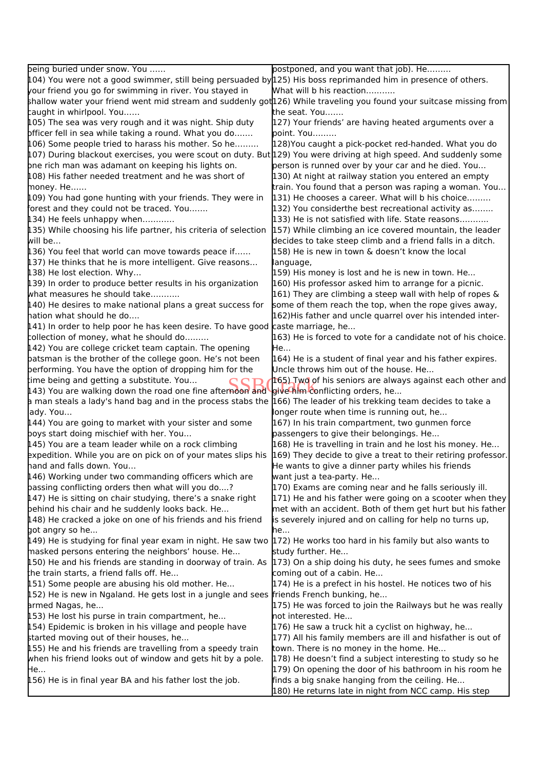| being buried under snow. You                                                                                                  | postponed, and you want that job). He                                                                     |
|-------------------------------------------------------------------------------------------------------------------------------|-----------------------------------------------------------------------------------------------------------|
| $104$ ) You were not a good swimmer, still being persuaded by $125$ ) His boss reprimanded him in presence of others.         |                                                                                                           |
| your friend you go for swimming in river. You stayed in                                                                       | What will b his reaction                                                                                  |
| shallow water your friend went mid stream and suddenly got126) While traveling you found your suitcase missing from           |                                                                                                           |
| caught in whirlpool. You                                                                                                      | the seat. You                                                                                             |
| 105) The sea was very rough and it was night. Ship duty                                                                       | 127) Your friends' are having heated arguments over a                                                     |
| pfficer fell in sea while taking a round. What you do                                                                         | point. You                                                                                                |
| 106) Some people tried to harass his mother. So he                                                                            | 128) You caught a pick-pocket red-handed. What you do                                                     |
|                                                                                                                               |                                                                                                           |
| 107) During blackout exercises, you were scout on duty. But 129) You were driving at high speed. And suddenly some            | person is runned over by your car and he died. You                                                        |
| bne rich man was adamant on keeping his lights on.                                                                            |                                                                                                           |
| $\upmu$ 08) His father needed treatment and he was short of                                                                   | 130) At night at railway station you entered an empty                                                     |
| money. He                                                                                                                     | train. You found that a person was raping a woman. You                                                    |
| $\upmu$ 09) You had gone hunting with your friends. They were in                                                              | [131] He chooses a career. What will b his choice                                                         |
| forest and they could not be traced. You                                                                                      | [132] You considerthe best recreational activity as                                                       |
| [134] He feels unhappy when                                                                                                   | [133] He is not satisfied with life. State reasons                                                        |
| $\updownarrow$ 35) While choosing his life partner, his criteria of selection                                                 | [157] While climbing an ice covered mountain, the leader                                                  |
| will be                                                                                                                       | decides to take steep climb and a friend falls in a ditch.                                                |
| [136] You feel that world can move towards peace if                                                                           | 158) He is new in town & doesn't know the local                                                           |
| [137) He thinks that he is more intelligent. Give reasons                                                                     | language,                                                                                                 |
| 138) He lost election. Why                                                                                                    | [159] His money is lost and he is new in town. He                                                         |
| $\upmu$ 39) In order to produce better results in his organization                                                            | 160) His professor asked him to arrange for a picnic.                                                     |
| what measures he should take                                                                                                  | $[161)$ They are climbing a steep wall with help of ropes &                                               |
| $\upmu$ 40) He desires to make national plans a great success for                                                             | some of them reach the top, when the rope gives away,                                                     |
| hation what should he do                                                                                                      | 162) His father and uncle quarrel over his intended inter-                                                |
| [141) In order to help poor he has keen desire. To have good caste marriage, he                                               |                                                                                                           |
| collection of money, what he should do                                                                                        | 163) He is forced to vote for a candidate not of his choice.                                              |
| [142) You are college cricket team captain. The opening                                                                       | He                                                                                                        |
| batsman is the brother of the college goon. He's not been                                                                     | 164) He is a student of final year and his father expires.                                                |
| performing. You have the option of dropping him for the                                                                       | Uncle throws him out of the house. He                                                                     |
| time being and getting a substitute. You                                                                                      | 165) Two of his seniors are always against each other and                                                 |
| 143) You are walking down the road one fine afternoon and                                                                     | give him conflicting orders, he                                                                           |
| a man steals a lady's hand bag and in the process stabs the                                                                   | 166) The leader of his trekking team decides to take a                                                    |
| ady. You                                                                                                                      | longer route when time is running out, he                                                                 |
| 144) You are going to market with your sister and some                                                                        | 167) In his train compartment, two gunmen force                                                           |
| boys start doing mischief with her. You                                                                                       | passengers to give their belongings. He                                                                   |
| 145) You are a team leader while on a rock climbing                                                                           | 168) He is travelling in train and he lost his money. He                                                  |
| expedition. While you are on pick on of your mates slips his                                                                  | 169) They decide to give a treat to their retiring professor.                                             |
| hand and falls down. You                                                                                                      | He wants to give a dinner party whiles his friends                                                        |
| $\upmu$ 46) Working under two commanding officers which are                                                                   | want just a tea-party. He                                                                                 |
| passing conflicting orders then what will you do?                                                                             | [170] Exams are coming near and he falls seriously ill.                                                   |
| $\mu$ 47) He is sitting on chair studying, there's a snake right                                                              | 171) He and his father were going on a scooter when they                                                  |
| behind his chair and he suddenly looks back. He                                                                               | met with an accident. Both of them get hurt but his father                                                |
| $\upmu$ 48) He cracked a joke on one of his friends and his friend                                                            | is severely injured and on calling for help no turns up,                                                  |
| got angry so he                                                                                                               | he                                                                                                        |
| $\mu$ 49) He is studying for final year exam in night. He saw two $\mu$ 72) He works too hard in his family but also wants to |                                                                                                           |
| masked persons entering the neighbors' house. He                                                                              | study further. He                                                                                         |
| 150) He and his friends are standing in doorway of train. As 173) On a ship doing his duty, he sees fumes and smoke           |                                                                                                           |
| the train starts, a friend falls off. He                                                                                      | coming out of a cabin. He                                                                                 |
| [151] Some people are abusing his old mother. He                                                                              | [174] He is a prefect in his hostel. He notices two of his                                                |
| 152) He is new in Ngaland. He gets lost in a jungle and sees friends French bunking, he                                       |                                                                                                           |
| armed Nagas, he                                                                                                               | 175) He was forced to join the Railways but he was really                                                 |
| $\upmu$ 53) He lost his purse in train compartment, he                                                                        | not interested. He                                                                                        |
| 154) Epidemic is broken in his village and people have                                                                        | [176] He saw a truck hit a cyclist on highway, he                                                         |
| started moving out of their houses, he                                                                                        | [177] All his family members are ill and hisfather is out of                                              |
| 155) He and his friends are travelling from a speedy train                                                                    | town. There is no money in the home. He                                                                   |
|                                                                                                                               |                                                                                                           |
| when his friend looks out of window and gets hit by a pole.                                                                   | 178) He doesn't find a subject interesting to study so he                                                 |
| He<br>$\upmu$ 56) He is in final year BA and his father lost the job.                                                         | 179) On opening the door of his bathroom in his room he<br>finds a big snake hanging from the ceiling. He |
|                                                                                                                               | 180) He returns late in night from NCC camp. His step                                                     |
|                                                                                                                               |                                                                                                           |